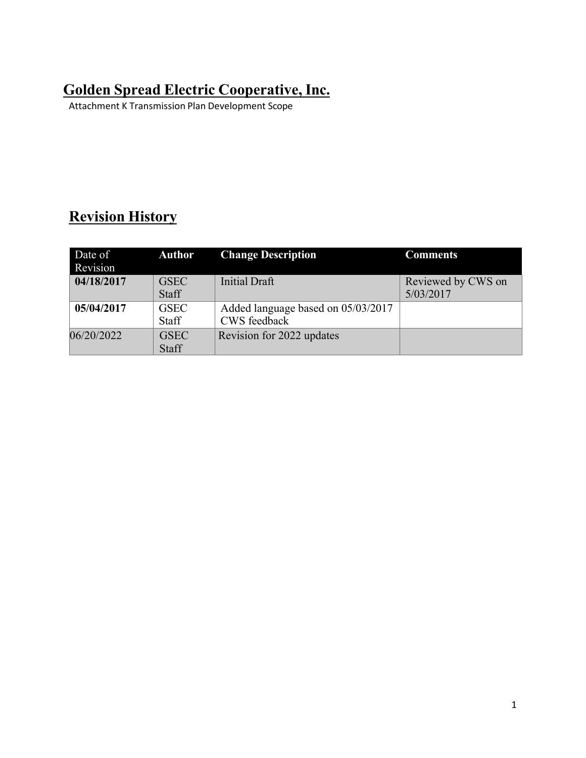## **Golden Spread Electric Cooperative, Inc.**

Attachment K Transmission Plan Development Scope

## **Revision History**

| Date of<br>Revision | <b>Author</b>               | <b>Change Description</b>                          | <b>Comments</b>                 |
|---------------------|-----------------------------|----------------------------------------------------|---------------------------------|
| 04/18/2017          | <b>GSEC</b><br><b>Staff</b> | <b>Initial Draft</b>                               | Reviewed by CWS on<br>5/03/2017 |
| 05/04/2017          | <b>GSEC</b><br><b>Staff</b> | Added language based on 05/03/2017<br>CWS feedback |                                 |
| 06/20/2022          | <b>GSEC</b><br><b>Staff</b> | Revision for 2022 updates                          |                                 |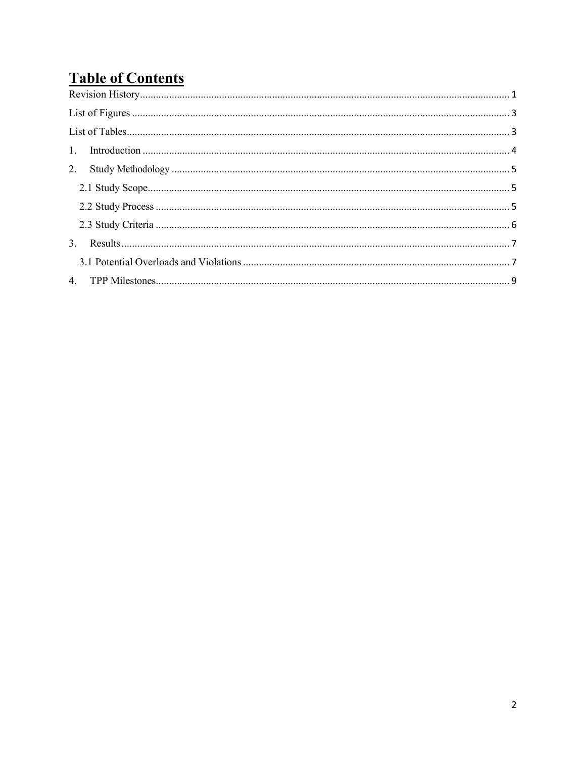# **Table of Contents**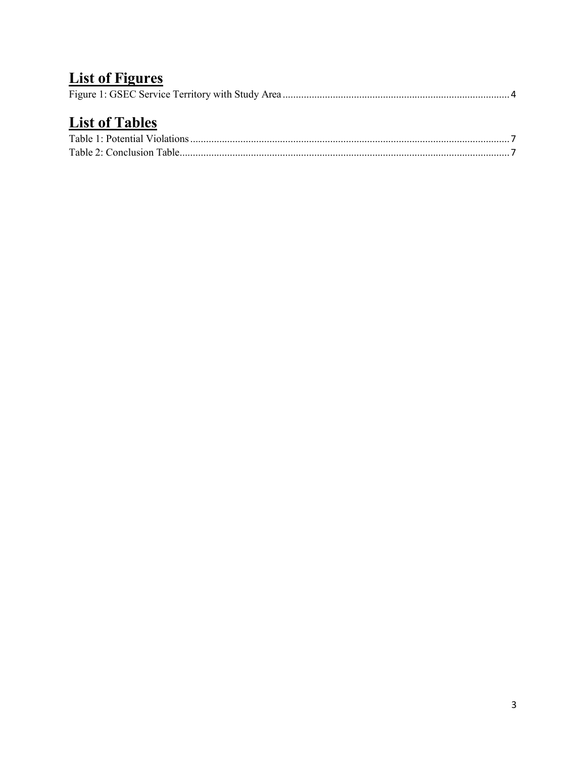# **List of Figures**

# **List of Tables**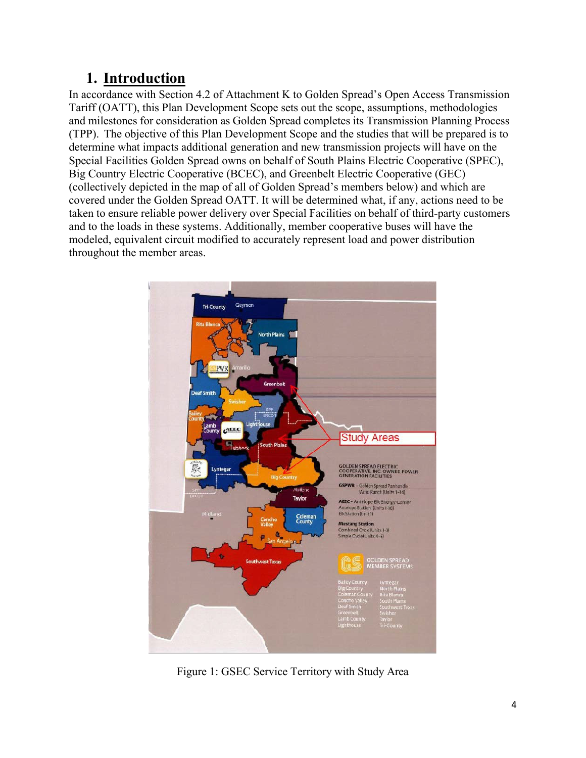## **1. Introduction**

In accordance with Section 4.2 of Attachment K to Golden Spread's Open Access Transmission Tariff (OATT), this Plan Development Scope sets out the scope, assumptions, methodologies and milestones for consideration as Golden Spread completes its Transmission Planning Process (TPP). The objective of this Plan Development Scope and the studies that will be prepared is to determine what impacts additional generation and new transmission projects will have on the Special Facilities Golden Spread owns on behalf of South Plains Electric Cooperative (SPEC), Big Country Electric Cooperative (BCEC), and Greenbelt Electric Cooperative (GEC) (collectively depicted in the map of all of Golden Spread's members below) and which are covered under the Golden Spread OATT. It will be determined what, if any, actions need to be taken to ensure reliable power delivery over Special Facilities on behalf of third-party customers and to the loads in these systems. Additionally, member cooperative buses will have the modeled, equivalent circuit modified to accurately represent load and power distribution throughout the member areas.



Figure 1: GSEC Service Territory with Study Area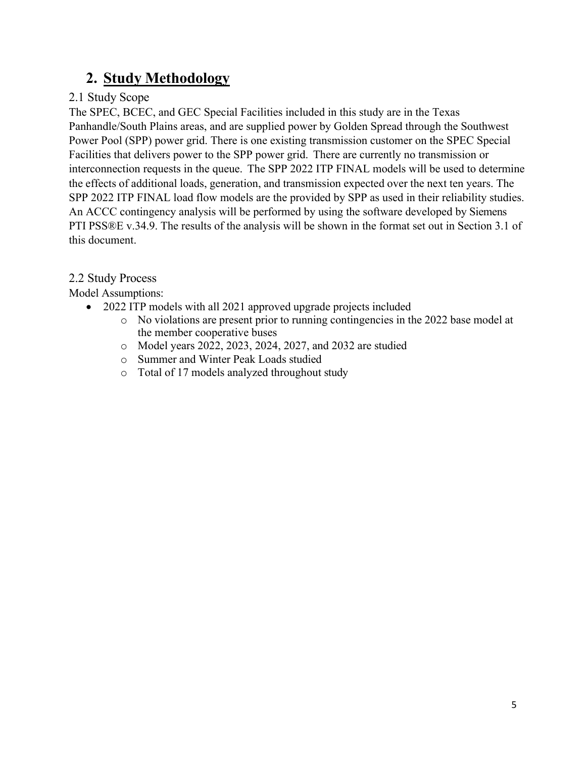## **2. Study Methodology**

### 2.1 Study Scope

The SPEC, BCEC, and GEC Special Facilities included in this study are in the Texas Panhandle/South Plains areas, and are supplied power by Golden Spread through the Southwest Power Pool (SPP) power grid. There is one existing transmission customer on the SPEC Special Facilities that delivers power to the SPP power grid. There are currently no transmission or interconnection requests in the queue. The SPP 2022 ITP FINAL models will be used to determine the effects of additional loads, generation, and transmission expected over the next ten years. The SPP 2022 ITP FINAL load flow models are the provided by SPP as used in their reliability studies. An ACCC contingency analysis will be performed by using the software developed by Siemens PTI PSS®E v.34.9. The results of the analysis will be shown in the format set out in Section 3.1 of this document.

### 2.2 Study Process

Model Assumptions:

- 2022 ITP models with all 2021 approved upgrade projects included
	- o No violations are present prior to running contingencies in the 2022 base model at the member cooperative buses
	- o Model years 2022, 2023, 2024, 2027, and 2032 are studied
	- o Summer and Winter Peak Loads studied
	- o Total of 17 models analyzed throughout study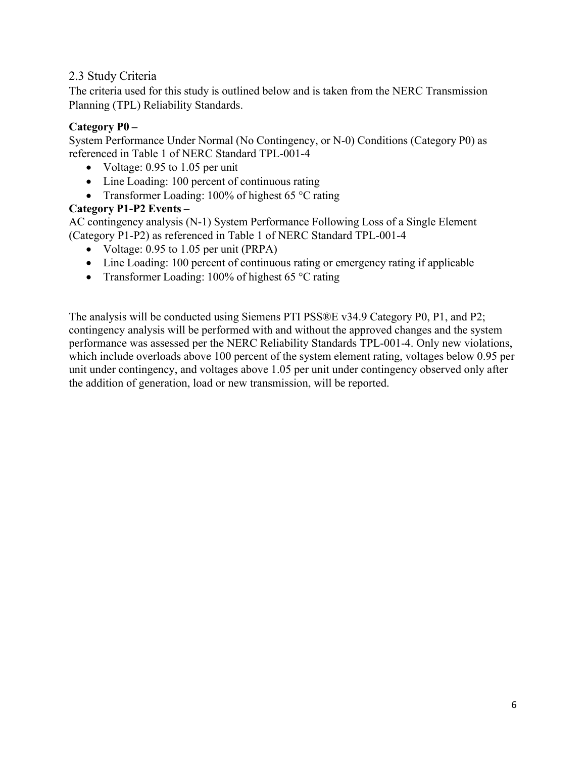#### 2.3 Study Criteria

The criteria used for this study is outlined below and is taken from the NERC Transmission Planning (TPL) Reliability Standards.

#### **Category P0 –**

System Performance Under Normal (No Contingency, or N-0) Conditions (Category P0) as referenced in Table 1 of NERC Standard TPL-001-4

- Voltage:  $0.95$  to  $1.05$  per unit
- Line Loading: 100 percent of continuous rating
- Transformer Loading: 100% of highest 65 °C rating

#### **Category P1-P2 Events –**

AC contingency analysis (N-1) System Performance Following Loss of a Single Element (Category P1-P2) as referenced in Table 1 of NERC Standard TPL-001-4

- Voltage:  $0.95$  to  $1.05$  per unit (PRPA)
- Line Loading: 100 percent of continuous rating or emergency rating if applicable
- Transformer Loading: 100% of highest 65 °C rating

The analysis will be conducted using Siemens PTI PSS®E v34.9 Category P0, P1, and P2; contingency analysis will be performed with and without the approved changes and the system performance was assessed per the NERC Reliability Standards TPL-001-4. Only new violations, which include overloads above 100 percent of the system element rating, voltages below 0.95 per unit under contingency, and voltages above 1.05 per unit under contingency observed only after the addition of generation, load or new transmission, will be reported.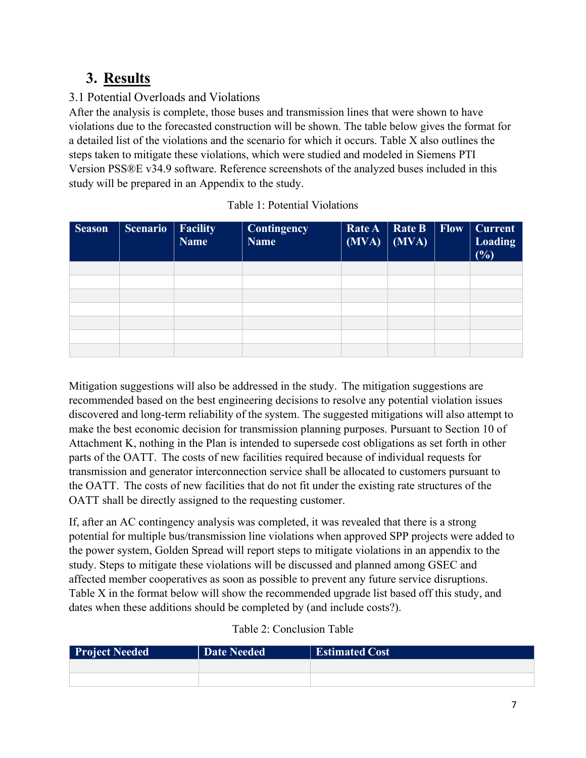## **3. Results**

### 3.1 Potential Overloads and Violations

After the analysis is complete, those buses and transmission lines that were shown to have violations due to the forecasted construction will be shown. The table below gives the format for a detailed list of the violations and the scenario for which it occurs. Table X also outlines the steps taken to mitigate these violations, which were studied and modeled in Siemens PTI Version PSS®E v34.9 software. Reference screenshots of the analyzed buses included in this study will be prepared in an Appendix to the study.

| <b>Season</b> | <b>Scenario</b> | $\parallel$ Facility<br><b>Name</b> | <b>Contingency</b><br><b>Name</b> | Rate A<br>$(MVA)$ $(MVA)$ | $\vert$ Rate B $\vert$ Flow | <b>Current</b><br><b>Loading</b><br>(%) |
|---------------|-----------------|-------------------------------------|-----------------------------------|---------------------------|-----------------------------|-----------------------------------------|
|               |                 |                                     |                                   |                           |                             |                                         |
|               |                 |                                     |                                   |                           |                             |                                         |
|               |                 |                                     |                                   |                           |                             |                                         |
|               |                 |                                     |                                   |                           |                             |                                         |
|               |                 |                                     |                                   |                           |                             |                                         |
|               |                 |                                     |                                   |                           |                             |                                         |
|               |                 |                                     |                                   |                           |                             |                                         |

| Table 1: Potential Violations |
|-------------------------------|
|-------------------------------|

Mitigation suggestions will also be addressed in the study. The mitigation suggestions are recommended based on the best engineering decisions to resolve any potential violation issues discovered and long-term reliability of the system. The suggested mitigations will also attempt to make the best economic decision for transmission planning purposes. Pursuant to Section 10 of Attachment K, nothing in the Plan is intended to supersede cost obligations as set forth in other parts of the OATT. The costs of new facilities required because of individual requests for transmission and generator interconnection service shall be allocated to customers pursuant to the OATT. The costs of new facilities that do not fit under the existing rate structures of the OATT shall be directly assigned to the requesting customer.

If, after an AC contingency analysis was completed, it was revealed that there is a strong potential for multiple bus/transmission line violations when approved SPP projects were added to the power system, Golden Spread will report steps to mitigate violations in an appendix to the study. Steps to mitigate these violations will be discussed and planned among GSEC and affected member cooperatives as soon as possible to prevent any future service disruptions. Table X in the format below will show the recommended upgrade list based off this study, and dates when these additions should be completed by (and include costs?).

| Table 2: Conclusion Table |
|---------------------------|
|---------------------------|

| Project Needed | <b>Date Needed</b> | <b>Estimated Cost</b> |
|----------------|--------------------|-----------------------|
|                |                    |                       |
|                |                    |                       |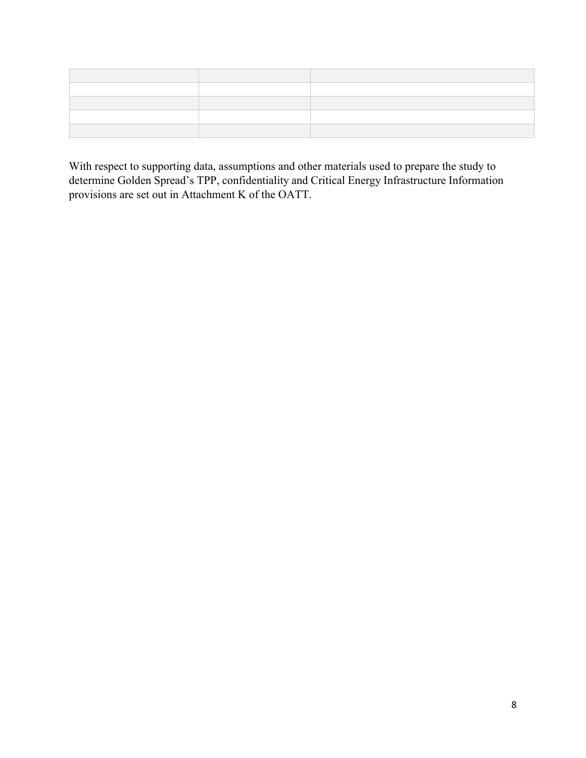With respect to supporting data, assumptions and other materials used to prepare the study to determine Golden Spread's TPP, confidentiality and Critical Energy Infrastructure Information provisions are set out in Attachment K of the OATT.